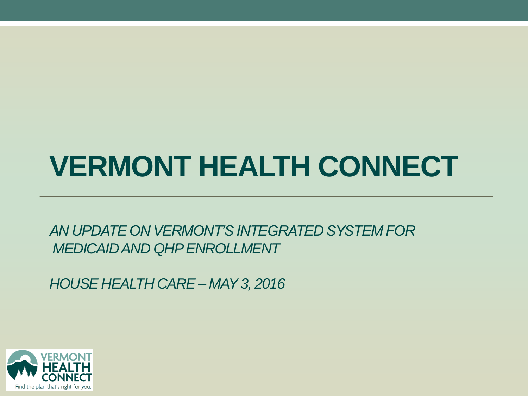### **VERMONT HEALTH CONNECT**

*AN UPDATE ON VERMONT'S INTEGRATED SYSTEM FOR MEDICAID AND QHP ENROLLMENT*

*HOUSE HEALTH CARE – MAY 3, 2016*

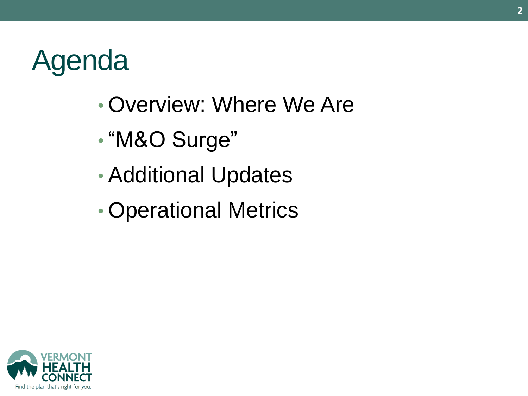### Agenda

- Overview: Where We Are
- "M&O Surge"
- Additional Updates
- Operational Metrics

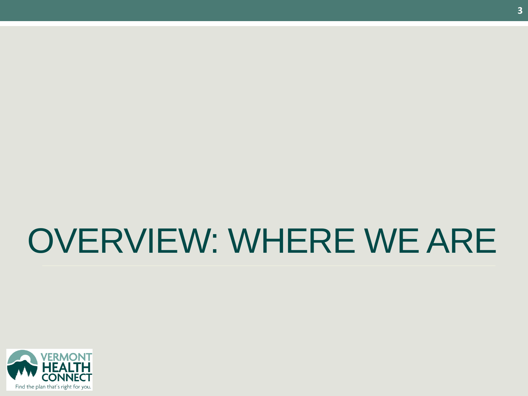### OVERVIEW: WHERE WE ARE

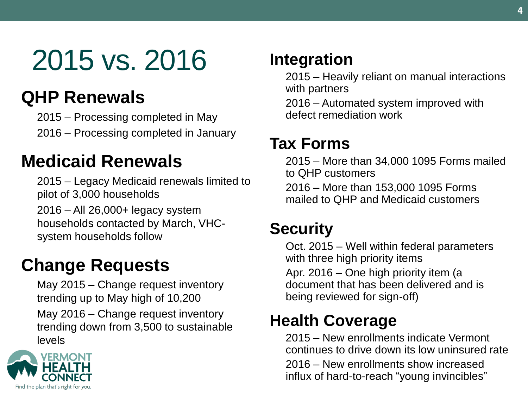### 2015 vs. 2016

#### **QHP Renewals**

2015 – Processing completed in May

2016 – Processing completed in January

#### **Medicaid Renewals**

2015 – Legacy Medicaid renewals limited to pilot of 3,000 households

2016 – All 26,000+ legacy system households contacted by March, VHCsystem households follow

### **Change Requests**

May 2015 – Change request inventory trending up to May high of 10,200 May 2016 – Change request inventory trending down from 3,500 to sustainable levels



#### **Integration**

2015 – Heavily reliant on manual interactions with partners

2016 – Automated system improved with defect remediation work

#### **Tax Forms**

2015 – More than 34,000 1095 Forms mailed to QHP customers

2016 – More than 153,000 1095 Forms mailed to QHP and Medicaid customers

#### **Security**

Oct. 2015 – Well within federal parameters with three high priority items

Apr. 2016 – One high priority item (a document that has been delivered and is being reviewed for sign-off)

#### **Health Coverage**

2015 – New enrollments indicate Vermont continues to drive down its low uninsured rate 2016 – New enrollments show increased influx of hard-to-reach "young invincibles"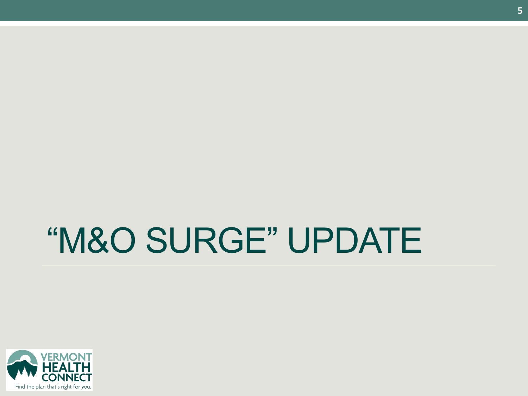# "M&O SURGE" UPDATE

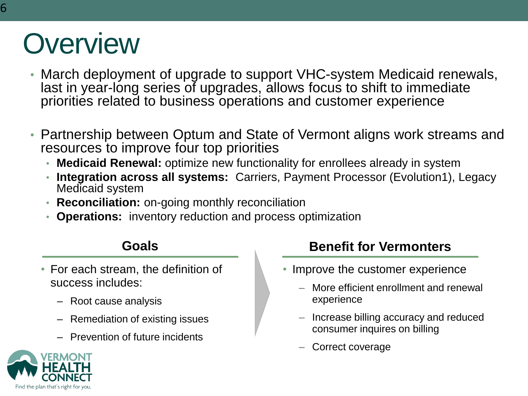### **Overview**

- March deployment of upgrade to support VHC-system Medicaid renewals, last in year-long series of upgrades, allows focus to shift to immediate priorities related to business operations and customer experience
- Partnership between Optum and State of Vermont aligns work streams and resources to improve four top priorities
	- **Medicaid Renewal:** optimize new functionality for enrollees already in system
	- **Integration across all systems:** Carriers, Payment Processor (Evolution1), Legacy Medicaid system
	- **Reconciliation:** on-going monthly reconciliation
	- **Operations:** inventory reduction and process optimization

- For each stream, the definition of success includes:
	- Root cause analysis
	- Remediation of existing issues
	- Prevention of future incidents

#### **Goals Benefit for Vermonters**

- Improve the customer experience
	- More efficient enrollment and renewal experience
	- Increase billing accuracy and reduced consumer inquires on billing
	- Correct coverage

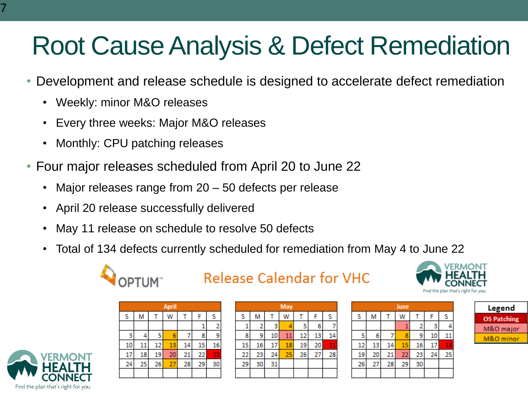### Root Cause Analysis & Defect Remediation

- Development and release schedule is designed to accelerate defect remediation
	- Weekly: minor M&O releases
	- Every three weeks: Major M&O releases
	- Monthly: CPU patching releases
- Four major releases scheduled from April 20 to June 22
	- Major releases range from  $20 50$  defects per release
	- April 20 release successfully delivered
	- May 11 release on schedule to resolve 50 defects
	- Total of 134 defects currently scheduled for remediation from May 4 to June 22



#### **Release Calendar for VHC**

| <b>April</b> |    |    |    |    |    |    |
|--------------|----|----|----|----|----|----|
| s            | М  |    | w  |    |    | s  |
|              |    |    |    |    |    | 2  |
| з            |    | 5  | 6  |    | 8  | 9  |
| 10           | 11 | 12 | 13 | 14 | 15 | 16 |
| 17           | 18 | 19 | 20 | 21 | 22 | 23 |
| 24           | 25 | 26 | 27 | 28 | 29 | 30 |
|              |    |    |    |    |    |    |

| May |    |    |    |    |    |    |
|-----|----|----|----|----|----|----|
| s   | М  |    | w  |    | F  | s  |
|     | 2  | з  |    | 5  | 6  |    |
| S   | 9  | 10 | 11 | 12 | 13 | 14 |
| 15  | 16 | 17 | 18 | 19 | 20 | 21 |
| 22  | 23 | 24 | 25 | 26 | 27 | 28 |
| 29  | 30 | 31 |    |    |    |    |
|     |    |    |    |    |    |    |

| June |    |    |    |    |    |    |  |
|------|----|----|----|----|----|----|--|
| S    | Μ  |    | w  |    |    | s  |  |
|      |    |    |    | 2  | з  |    |  |
| 5    | 6  |    | 8  | 9  | 10 |    |  |
| 12   | 13 | 14 | 15 | 16 | 17 | 18 |  |
| 19   | 20 | 21 | 22 | 23 | 24 | 25 |  |
| 26   | 27 | 28 | 29 | 30 |    |    |  |
|      |    |    |    |    |    |    |  |

| Legend             |  |  |  |  |  |
|--------------------|--|--|--|--|--|
| <b>OS Patching</b> |  |  |  |  |  |
| M&O major          |  |  |  |  |  |
| M&O minor          |  |  |  |  |  |

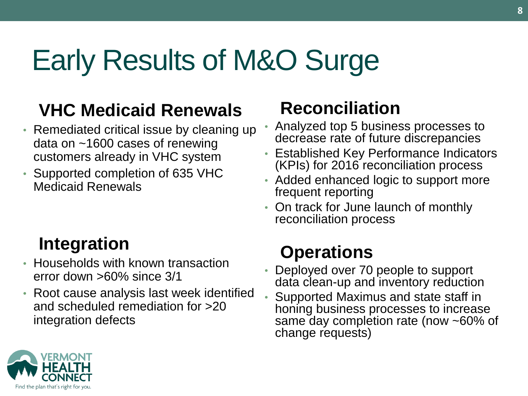### Early Results of M&O Surge

### **VHC Medicaid Renewals**

- Remediated critical issue by cleaning up data on ~1600 cases of renewing customers already in VHC system
- Supported completion of 635 VHC Medicaid Renewals

### **Integration**

- Households with known transaction error down >60% since 3/1
- Root cause analysis last week identified and scheduled remediation for >20 integration defects

#### **Reconciliation**

- Analyzed top 5 business processes to decrease rate of future discrepancies
- Established Key Performance Indicators (KPIs) for 2016 reconciliation process
- Added enhanced logic to support more frequent reporting
- On track for June launch of monthly reconciliation process

### **Operations**

- Deployed over 70 people to support data clean-up and inventory reduction
- Supported Maximus and state staff in honing business processes to increase same day completion rate (now ~60% of change requests)

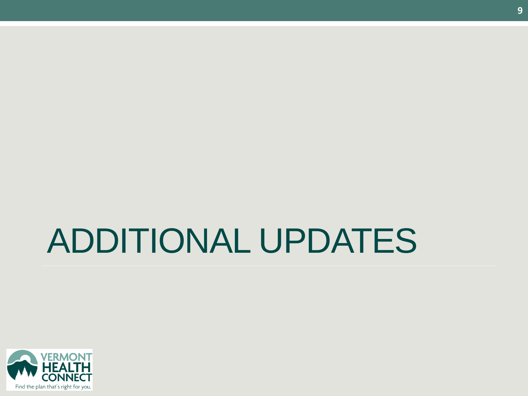# ADDITIONAL UPDATES

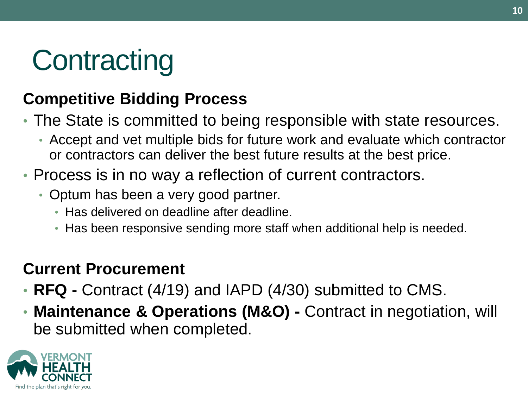### **Contracting**

#### **Competitive Bidding Process**

- The State is committed to being responsible with state resources.
	- Accept and vet multiple bids for future work and evaluate which contractor or contractors can deliver the best future results at the best price.
- Process is in no way a reflection of current contractors.
	- Optum has been a very good partner.
		- Has delivered on deadline after deadline.
		- Has been responsive sending more staff when additional help is needed.

#### **Current Procurement**

- **RFQ -** Contract (4/19) and IAPD (4/30) submitted to CMS.
- **Maintenance & Operations (M&O) -** Contract in negotiation, will be submitted when completed.

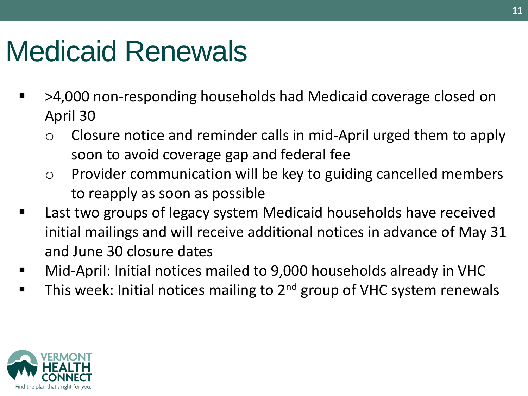### Medicaid Renewals

- >4,000 non-responding households had Medicaid coverage closed on April 30
	- Closure notice and reminder calls in mid-April urged them to apply soon to avoid coverage gap and federal fee
	- o Provider communication will be key to guiding cancelled members to reapply as soon as possible
- Last two groups of legacy system Medicaid households have received initial mailings and will receive additional notices in advance of May 31 and June 30 closure dates
- Mid-April: Initial notices mailed to 9,000 households already in VHC
- This week: Initial notices mailing to 2<sup>nd</sup> group of VHC system renewals

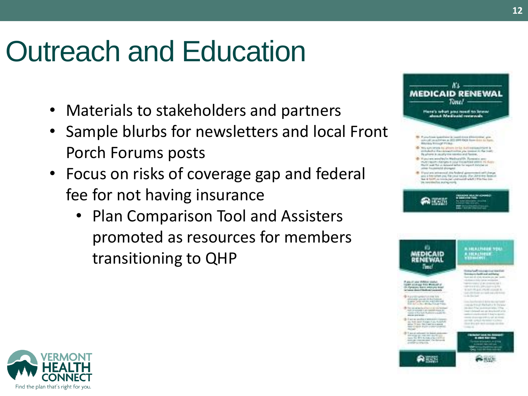### Outreach and Education

- Materials to stakeholders and partners
- Sample blurbs for newsletters and local Front Porch Forums posts
- Focus on risks of coverage gap and federal fee for not having insurance
	- Plan Comparison Tool and Assisters promoted as resources for members transitioning to QHP



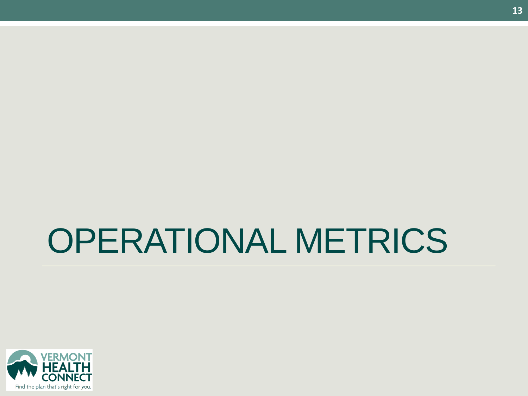# OPERATIONAL METRICS

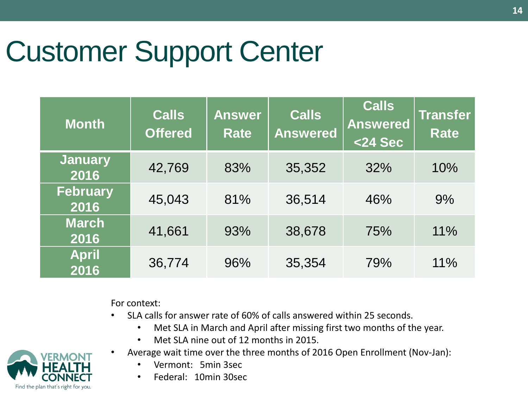### Customer Support Center

| <b>Month</b>            | <b>Calls</b><br><b>Offered</b> | <b>Answer</b><br><b>Rate</b> | <b>Calls</b><br><b>Answered</b> | <b>Calls</b><br><b>Answered</b><br>$<$ 24 Sec | <b>Transfer</b><br><b>Rate</b> |
|-------------------------|--------------------------------|------------------------------|---------------------------------|-----------------------------------------------|--------------------------------|
| <b>January</b><br>2016  | 42,769                         | 83%                          | 35,352                          | 32%                                           | 10%                            |
| <b>February</b><br>2016 | 45,043                         | 81%                          | 36,514                          | 46%                                           | 9%                             |
| <b>March</b><br>2016    | 41,661                         | 93%                          | 38,678                          | 75%                                           | 11%                            |
| <b>April</b><br>2016    | 36,774                         | 96%                          | 35,354                          | 79%                                           | 11%                            |

For context:

- SLA calls for answer rate of 60% of calls answered within 25 seconds.
	- Met SLA in March and April after missing first two months of the year.
	- Met SLA nine out of 12 months in 2015.
- Average wait time over the three months of 2016 Open Enrollment (Nov-Jan):
	- Vermont: 5min 3sec
	- Federal: 10min 30sec

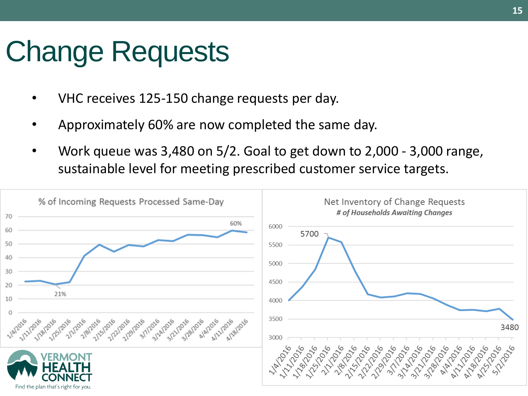### Change Requests

- VHC receives 125-150 change requests per day.
- Approximately 60% are now completed the same day.
- Work queue was 3,480 on 5/2. Goal to get down to 2,000 3,000 range, sustainable level for meeting prescribed customer service targets.

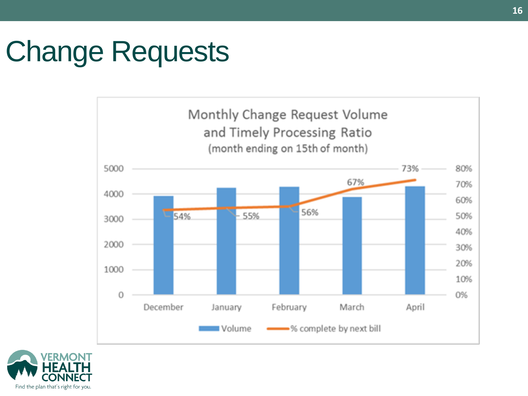### Change Requests



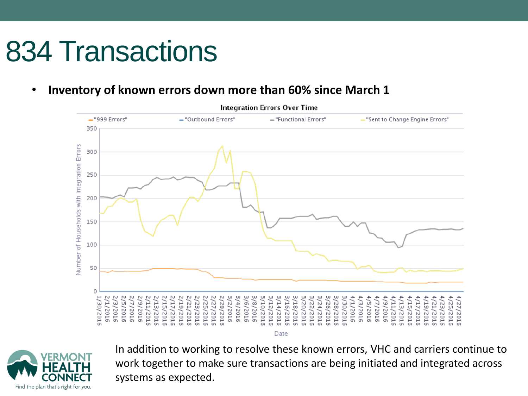### 834 Transactions

• **Inventory of known errors down more than 60% since March 1** 





In addition to working to resolve these known errors, VHC and carriers continue to work together to make sure transactions are being initiated and integrated across systems as expected.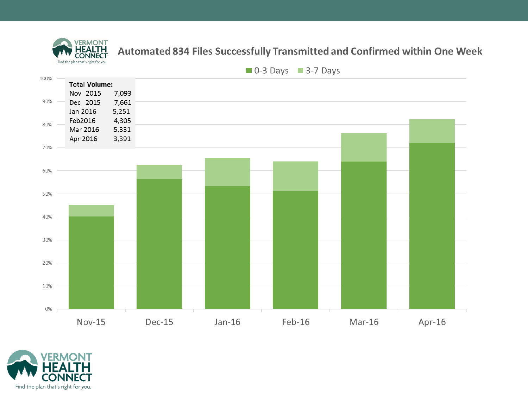

#### Automated 834 Files Successfully Transmitted and Confirmed within One Week



 $\blacksquare$  0-3 Days  $\blacksquare$  3-7 Days

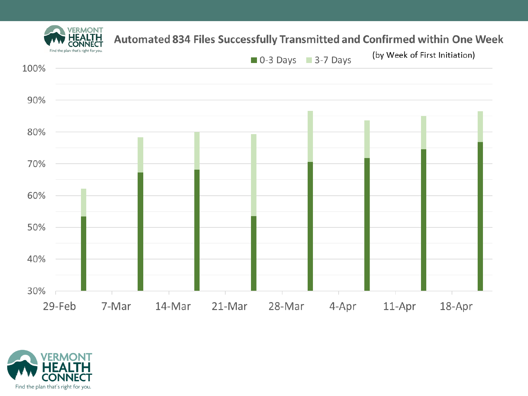





VERMONT

HEALTH רז